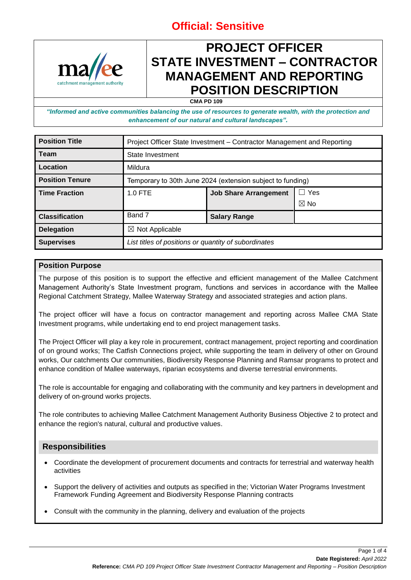

### **PROJECT OFFICER STATE INVESTMENT – CONTRACTOR MANAGEMENT AND REPORTING POSITION DESCRIPTION**

**CMA PD 109**

*"Informed and active communities balancing the use of resources to generate wealth, with the protection and enhancement of our natural and cultural landscapes".*

| <b>Position Title</b>  | Project Officer State Investment - Contractor Management and Reporting |                              |                |
|------------------------|------------------------------------------------------------------------|------------------------------|----------------|
| <b>Team</b>            | State Investment                                                       |                              |                |
| Location               | Mildura                                                                |                              |                |
| <b>Position Tenure</b> | Temporary to 30th June 2024 (extension subject to funding)             |                              |                |
| <b>Time Fraction</b>   | $1.0$ FTE                                                              | <b>Job Share Arrangement</b> | Yes<br>ГΙ      |
|                        |                                                                        |                              | $\boxtimes$ No |
| <b>Classification</b>  | Band 7                                                                 | <b>Salary Range</b>          |                |
| <b>Delegation</b>      | $\boxtimes$ Not Applicable                                             |                              |                |
| <b>Supervises</b>      | List titles of positions or quantity of subordinates                   |                              |                |

#### **Position Purpose**

The purpose of this position is to support the effective and efficient management of the Mallee Catchment Management Authority's State Investment program, functions and services in accordance with the Mallee Regional Catchment Strategy, Mallee Waterway Strategy and associated strategies and action plans.

The project officer will have a focus on contractor management and reporting across Mallee CMA State Investment programs, while undertaking end to end project management tasks.

The Project Officer will play a key role in procurement, contract management, project reporting and coordination of on ground works; The Catfish Connections project, while supporting the team in delivery of other on Ground works, Our catchments Our communities, Biodiversity Response Planning and Ramsar programs to protect and enhance condition of Mallee waterways, riparian ecosystems and diverse terrestrial environments.

The role is accountable for engaging and collaborating with the community and key partners in development and delivery of on-ground works projects.

The role contributes to achieving Mallee Catchment Management Authority Business Objective 2 to protect and enhance the region's natural, cultural and productive values.

### **Responsibilities**

- Coordinate the development of procurement documents and contracts for terrestrial and waterway health activities
- Support the delivery of activities and outputs as specified in the; Victorian Water Programs Investment Framework Funding Agreement and Biodiversity Response Planning contracts
- Consult with the community in the planning, delivery and evaluation of the projects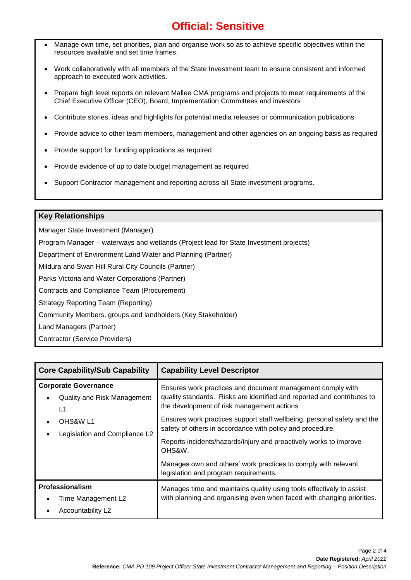- Manage own time, set priorities, plan and organise work so as to achieve specific objectives within the resources available and set time frames.
- Work collaboratively with all members of the State Investment team to ensure consistent and informed approach to executed work activities.
- Prepare high level reports on relevant Mallee CMA programs and projects to meet requirements of the Chief Executive Officer (CEO), Board, Implementation Committees and investors
- Contribute stories, ideas and highlights for potential media releases or communication publications
- Provide advice to other team members, management and other agencies on an ongoing basis as required
- Provide support for funding applications as required
- Provide evidence of up to date budget management as required
- Support Contractor management and reporting across all State investment programs.

### **Key Relationships**

Manager State Investment (Manager)

Program Manager – waterways and wetlands (Project lead for State Investment projects)

Department of Environment Land Water and Planning (Partner)

Mildura and Swan Hill Rural City Councils (Partner)

Parks Victoria and Water Corporations (Partner)

Contracts and Compliance Team (Procurement)

Strategy Reporting Team (Reporting)

Community Members, groups and landholders (Key Stakeholder)

Land Managers (Partner)

Contractor (Service Providers)

| <b>Core Capability/Sub Capability</b>                                                                                     | <b>Capability Level Descriptor</b>                                                                                                                                                                                                                                                                                                                                                                         |
|---------------------------------------------------------------------------------------------------------------------------|------------------------------------------------------------------------------------------------------------------------------------------------------------------------------------------------------------------------------------------------------------------------------------------------------------------------------------------------------------------------------------------------------------|
| <b>Corporate Governance</b><br>Quality and Risk Management<br>L <sub>1</sub><br>OHS&W L1<br>Legislation and Compliance L2 | Ensures work practices and document management comply with<br>quality standards. Risks are identified and reported and contributes to<br>the development of risk management actions<br>Ensures work practices support staff wellbeing, personal safety and the<br>safety of others in accordance with policy and procedure.<br>Reports incidents/hazards/injury and proactively works to improve<br>OHS&W. |
|                                                                                                                           | Manages own and others' work practices to comply with relevant<br>legislation and program requirements.                                                                                                                                                                                                                                                                                                    |
| <b>Professionalism</b><br>Time Management L2<br>Accountability L <sub>2</sub>                                             | Manages time and maintains quality using tools effectively to assist<br>with planning and organising even when faced with changing priorities.                                                                                                                                                                                                                                                             |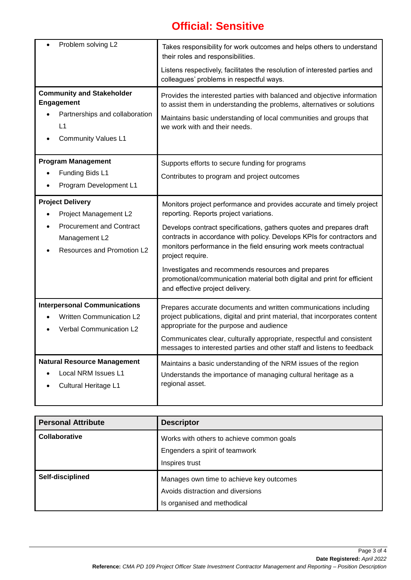| Problem solving L2                                                                                                                 | Takes responsibility for work outcomes and helps others to understand<br>their roles and responsibilities.<br>Listens respectively, facilitates the resolution of interested parties and<br>colleagues' problems in respectful ways.                                                                                                                                                                                                                                                                                          |
|------------------------------------------------------------------------------------------------------------------------------------|-------------------------------------------------------------------------------------------------------------------------------------------------------------------------------------------------------------------------------------------------------------------------------------------------------------------------------------------------------------------------------------------------------------------------------------------------------------------------------------------------------------------------------|
| <b>Community and Stakeholder</b><br><b>Engagement</b><br>Partnerships and collaboration<br>L1<br><b>Community Values L1</b>        | Provides the interested parties with balanced and objective information<br>to assist them in understanding the problems, alternatives or solutions<br>Maintains basic understanding of local communities and groups that<br>we work with and their needs.                                                                                                                                                                                                                                                                     |
| <b>Program Management</b><br>Funding Bids L1<br>Program Development L1                                                             | Supports efforts to secure funding for programs<br>Contributes to program and project outcomes                                                                                                                                                                                                                                                                                                                                                                                                                                |
| <b>Project Delivery</b><br>Project Management L2<br><b>Procurement and Contract</b><br>Management L2<br>Resources and Promotion L2 | Monitors project performance and provides accurate and timely project<br>reporting. Reports project variations.<br>Develops contract specifications, gathers quotes and prepares draft<br>contracts in accordance with policy. Develops KPIs for contractors and<br>monitors performance in the field ensuring work meets contractual<br>project require.<br>Investigates and recommends resources and prepares<br>promotional/communication material both digital and print for efficient<br>and effective project delivery. |
| <b>Interpersonal Communications</b><br><b>Written Communication L2</b><br><b>Verbal Communication L2</b>                           | Prepares accurate documents and written communications including<br>project publications, digital and print material, that incorporates content<br>appropriate for the purpose and audience<br>Communicates clear, culturally appropriate, respectful and consistent<br>messages to interested parties and other staff and listens to feedback                                                                                                                                                                                |
| <b>Natural Resource Management</b><br>Local NRM Issues L1<br>Cultural Heritage L1                                                  | Maintains a basic understanding of the NRM issues of the region<br>Understands the importance of managing cultural heritage as a<br>regional asset.                                                                                                                                                                                                                                                                                                                                                                           |

| <b>Personal Attribute</b> | <b>Descriptor</b>                                                                                            |
|---------------------------|--------------------------------------------------------------------------------------------------------------|
| Collaborative             | Works with others to achieve common goals<br>Engenders a spirit of teamwork<br>Inspires trust                |
| Self-disciplined          | Manages own time to achieve key outcomes<br>Avoids distraction and diversions<br>Is organised and methodical |